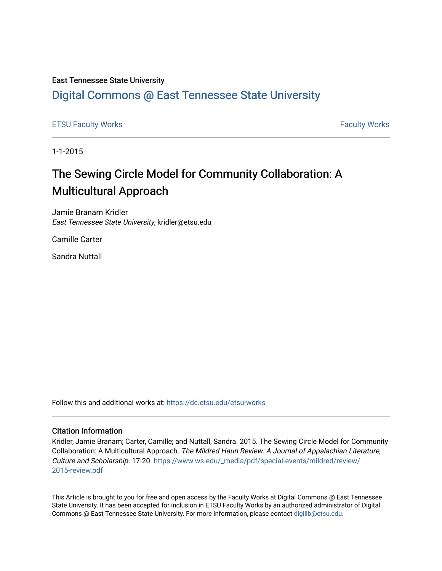#### East Tennessee State University

# [Digital Commons @ East Tennessee State University](https://dc.etsu.edu/)

### [ETSU Faculty Works](https://dc.etsu.edu/etsu-works) **Faculty Works** [Faculty Works](https://dc.etsu.edu/faculty-works) **Faculty Works**

1-1-2015

# The Sewing Circle Model for Community Collaboration: A Multicultural Approach

Jamie Branam Kridler East Tennessee State University, kridler@etsu.edu

Camille Carter

Sandra Nuttall

Follow this and additional works at: [https://dc.etsu.edu/etsu-works](https://dc.etsu.edu/etsu-works?utm_source=dc.etsu.edu%2Fetsu-works%2F5847&utm_medium=PDF&utm_campaign=PDFCoverPages) 

#### Citation Information

Kridler, Jamie Branam; Carter, Camille; and Nuttall, Sandra. 2015. The Sewing Circle Model for Community Collaboration: A Multicultural Approach. The Mildred Haun Review: A Journal of Appalachian Literature, Culture and Scholarship. 17-20. [https://www.ws.edu/\\_media/pdf/special-events/mildred/review/](https://www.ws.edu/_media/pdf/special-events/mildred/review/2015-review.pdf) [2015-review.pdf](https://www.ws.edu/_media/pdf/special-events/mildred/review/2015-review.pdf) 

This Article is brought to you for free and open access by the Faculty Works at Digital Commons @ East Tennessee State University. It has been accepted for inclusion in ETSU Faculty Works by an authorized administrator of Digital Commons @ East Tennessee State University. For more information, please contact [digilib@etsu.edu.](mailto:digilib@etsu.edu)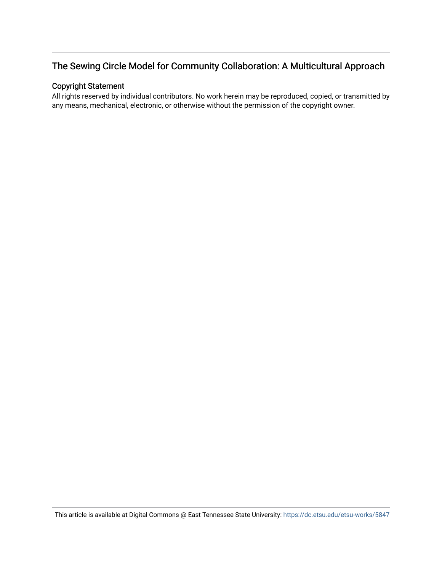# The Sewing Circle Model for Community Collaboration: A Multicultural Approach

### Copyright Statement

All rights reserved by individual contributors. No work herein may be reproduced, copied, or transmitted by any means, mechanical, electronic, or otherwise without the permission of the copyright owner.

This article is available at Digital Commons @ East Tennessee State University: <https://dc.etsu.edu/etsu-works/5847>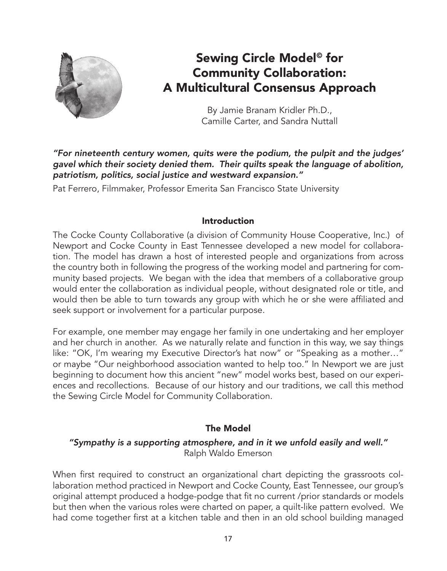

# Sewing Circle Model<sup>®</sup> for Community Collaboration: A Multicultural Consensus Approach

By Jamie Branam Kridler Ph.D., Camille Carter, and Sandra Nuttall

*"For nineteenth century women, quits were the podium, the pulpit and the judges' gavel which their society denied them. Their quilts speak the language of abolition, patriotism, politics, social justice and westward expansion."*

Pat Ferrero, Filmmaker, Professor Emerita San Francisco State University

## Introduction

The Cocke County Collaborative (a division of Community House Cooperative, Inc.) of Newport and Cocke County in East Tennessee developed a new model for collaboration. The model has drawn a host of interested people and organizations from across the country both in following the progress of the working model and partnering for community based projects. We began with the idea that members of a collaborative group would enter the collaboration as individual people, without designated role or title, and would then be able to turn towards any group with which he or she were affiliated and seek support or involvement for a particular purpose.

For example, one member may engage her family in one undertaking and her employer and her church in another. As we naturally relate and function in this way, we say things like: "OK, I'm wearing my Executive Director's hat now" or "Speaking as a mother…" or maybe "Our neighborhood association wanted to help too." In Newport we are just beginning to document how this ancient "new" model works best, based on our experiences and recollections. Because of our history and our traditions, we call this method the Sewing Circle Model for Community Collaboration.

## The Model

## *"Sympathy is a supporting atmosphere, and in it we unfold easily and well."*  Ralph Waldo Emerson

When first required to construct an organizational chart depicting the grassroots collaboration method practiced in Newport and Cocke County, East Tennessee, our group's original attempt produced a hodge-podge that fit no current /prior standards or models but then when the various roles were charted on paper, a quilt-like pattern evolved. We had come together first at a kitchen table and then in an old school building managed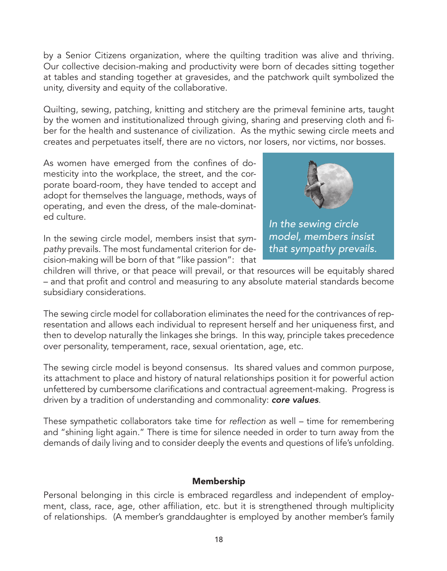by a Senior Citizens organization, where the quilting tradition was alive and thriving. Our collective decision-making and productivity were born of decades sitting together at tables and standing together at gravesides, and the patchwork quilt symbolized the unity, diversity and equity of the collaborative.

Quilting, sewing, patching, knitting and stitchery are the primeval feminine arts, taught by the women and institutionalized through giving, sharing and preserving cloth and fiber for the health and sustenance of civilization. As the mythic sewing circle meets and creates and perpetuates itself, there are no victors, nor losers, nor victims, nor bosses.

As women have emerged from the confines of domesticity into the workplace, the street, and the corporate board-room, they have tended to accept and adopt for themselves the language, methods, ways of operating, and even the dress, of the male-dominated culture.



*In the sewing circle model, members insist that sympathy prevails.*

In the sewing circle model, members insist that *sympathy* prevails. The most fundamental criterion for decision-making will be born of that "like passion": that

children will thrive, or that peace will prevail, or that resources will be equitably shared – and that profit and control and measuring to any absolute material standards become subsidiary considerations.

The sewing circle model for collaboration eliminates the need for the contrivances of representation and allows each individual to represent herself and her uniqueness first, and then to develop naturally the linkages she brings. In this way, principle takes precedence over personality, temperament, race, sexual orientation, age, etc.

The sewing circle model is beyond consensus. Its shared values and common purpose, its attachment to place and history of natural relationships position it for powerful action unfettered by cumbersome clarifications and contractual agreement-making. Progress is driven by a tradition of understanding and commonality: *core values*.

These sympathetic collaborators take time for reflection as well – time for remembering and "shining light again." There is time for silence needed in order to turn away from the demands of daily living and to consider deeply the events and questions of life's unfolding.

## Membership

Personal belonging in this circle is embraced regardless and independent of employment, class, race, age, other affiliation, etc. but it is strengthened through multiplicity of relationships. (A member's granddaughter is employed by another member's family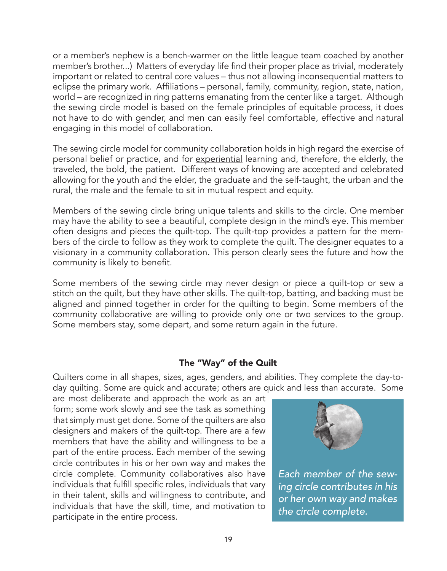or a member's nephew is a bench-warmer on the little league team coached by another member's brother...) Matters of everyday life find their proper place as trivial, moderately important or related to central core values – thus not allowing inconsequential matters to eclipse the primary work. Affiliations – personal, family, community, region, state, nation, world – are recognized in ring patterns emanating from the center like a target. Although the sewing circle model is based on the female principles of equitable process, it does not have to do with gender, and men can easily feel comfortable, effective and natural engaging in this model of collaboration.

The sewing circle model for community collaboration holds in high regard the exercise of personal belief or practice, and for experiential learning and, therefore, the elderly, the traveled, the bold, the patient. Different ways of knowing are accepted and celebrated allowing for the youth and the elder, the graduate and the self-taught, the urban and the rural, the male and the female to sit in mutual respect and equity.

Members of the sewing circle bring unique talents and skills to the circle. One member may have the ability to see a beautiful, complete design in the mind's eye. This member often designs and pieces the quilt-top. The quilt-top provides a pattern for the members of the circle to follow as they work to complete the quilt. The designer equates to a visionary in a community collaboration. This person clearly sees the future and how the community is likely to benefit.

Some members of the sewing circle may never design or piece a quilt-top or sew a stitch on the quilt, but they have other skills. The quilt-top, batting, and backing must be aligned and pinned together in order for the quilting to begin. Some members of the community collaborative are willing to provide only one or two services to the group. Some members stay, some depart, and some return again in the future.

### The "Way" of the Quilt

Quilters come in all shapes, sizes, ages, genders, and abilities. They complete the day-today quilting. Some are quick and accurate; others are quick and less than accurate. Some

are most deliberate and approach the work as an art form; some work slowly and see the task as something that simply must get done. Some of the quilters are also designers and makers of the quilt-top. There are a few members that have the ability and willingness to be a part of the entire process. Each member of the sewing circle contributes in his or her own way and makes the circle complete. Community collaboratives also have individuals that fulfill specific roles, individuals that vary in their talent, skills and willingness to contribute, and individuals that have the skill, time, and motivation to participate in the entire process.